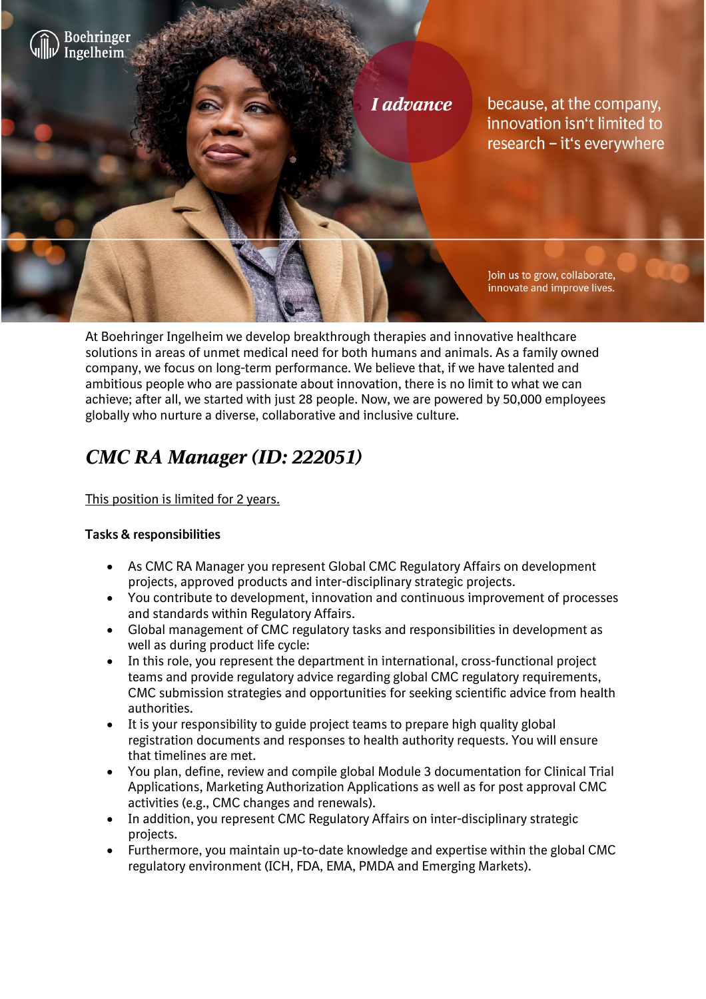

At Boehringer Ingelheim we develop breakthrough therapies and innovative healthcare solutions in areas of unmet medical need for both humans and animals. As a family owned company, we focus on long-term performance. We believe that, if we have talented and ambitious people who are passionate about innovation, there is no limit to what we can achieve; after all, we started with just 28 people. Now, we are powered by 50,000 employees globally who nurture a diverse, collaborative and inclusive culture.

# *CMC RA Manager (ID: 222051)*

# This position is limited for 2 years.

# **Tasks & responsibilities**

- As CMC RA Manager you represent Global CMC Regulatory Affairs on development projects, approved products and inter-disciplinary strategic projects.
- You contribute to development, innovation and continuous improvement of processes and standards within Regulatory Affairs.
- Global management of CMC regulatory tasks and responsibilities in development as well as during product life cycle:
- In this role, you represent the department in international, cross-functional project teams and provide regulatory advice regarding global CMC regulatory requirements, CMC submission strategies and opportunities for seeking scientific advice from health authorities.
- It is your responsibility to guide project teams to prepare high quality global registration documents and responses to health authority requests. You will ensure that timelines are met.
- You plan, define, review and compile global Module 3 documentation for Clinical Trial Applications, Marketing Authorization Applications as well as for post approval CMC activities (e.g., CMC changes and renewals).
- In addition, you represent CMC Regulatory Affairs on inter-disciplinary strategic projects.
- Furthermore, you maintain up-to-date knowledge and expertise within the global CMC regulatory environment (ICH, FDA, EMA, PMDA and Emerging Markets).